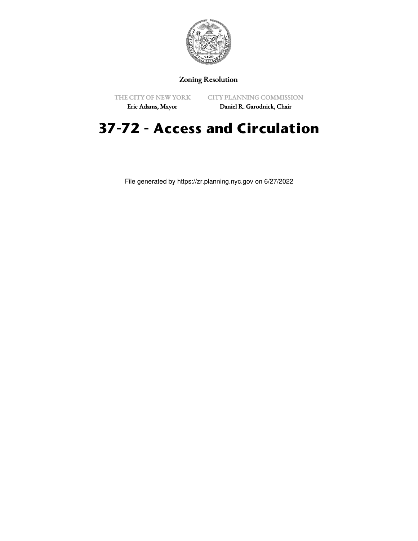

#### Zoning Resolution

THE CITY OF NEW YORK

CITY PLANNING COMMISSION

Eric Adams, Mayor

# Daniel R. Garodnick, Chair

# **37-72 - Access and Circulation**

File generated by https://zr.planning.nyc.gov on 6/27/2022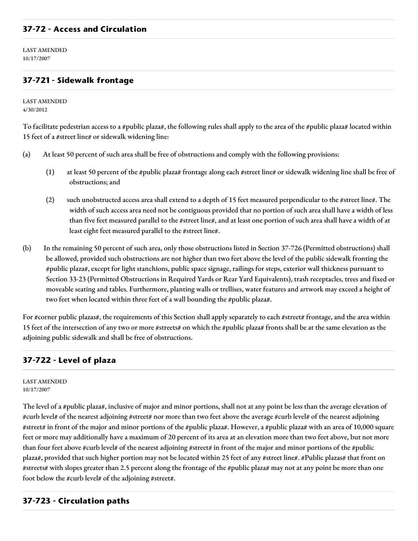## **37-72 - Access and Circulation**

LAST AMENDED 10/17/2007

## **37-721 - Sidewalk frontage**

LAST AMENDED 4/30/2012

To facilitate pedestrian access to a #public plaza#, the following rules shall apply to the area of the #public plaza# located within 15 feet of a #street line# or sidewalk widening line:

- (a) At least 50 percent of such area shall be free of obstructions and comply with the following provisions:
	- (1) at least 50 percent of the #public plaza# frontage along each #street line# or sidewalk widening line shall be free of obstructions; and
	- (2) such unobstructed access area shall extend to a depth of 15 feet measured perpendicular to the #street line#. The width of such access area need not be contiguous provided that no portion of such area shall have a width of less than five feet measured parallel to the #street line#, and at least one portion of such area shall have a width of at least eight feet measured parallel to the #street line#.
- (b) In the remaining 50 percent of such area, only those obstructions listed in Section 37-726 (Permitted obstructions) shall be allowed, provided such obstructions are not higher than two feet above the level of the public sidewalk fronting the #public plaza#, except for light stanchions, public space signage, railings for steps, exterior wall thickness pursuant to Section 33-23 (Permitted Obstructions in Required Yards or Rear Yard Equivalents), trash receptacles, trees and fixed or moveable seating and tables. Furthermore, planting walls or trellises, water features and artwork may exceed a height of two feet when located within three feet of a wall bounding the #public plaza#.

For #corner public plazas#, the requirements of this Section shall apply separately to each #street# frontage, and the area within 15 feet of the intersection of any two or more #streets# on which the #public plaza# fronts shall be at the same elevation as the adjoining public sidewalk and shall be free of obstructions.

#### **37-722 - Level of plaza**

LAST AMENDED 10/17/2007

The level of a #public plaza#, inclusive of major and minor portions, shall not at any point be less than the average elevation of #curb level# of the nearest adjoining #street# nor more than two feet above the average #curb level# of the nearest adjoining #street# in front of the major and minor portions of the #public plaza#. However, a #public plaza# with an area of 10,000 square feet or more may additionally have a maximum of 20 percent of its area at an elevation more than two feet above, but not more than four feet above #curb level# of the nearest adjoining #street# in front of the major and minor portions of the #public plaza#, provided that such higher portion may not be located within 25 feet of any #street line#. #Public plazas# that front on #streets# with slopes greater than 2.5 percent along the frontage of the #public plaza# may not at any point be more than one foot below the #curb level# of the adjoining #street#.

#### **37-723 - Circulation paths**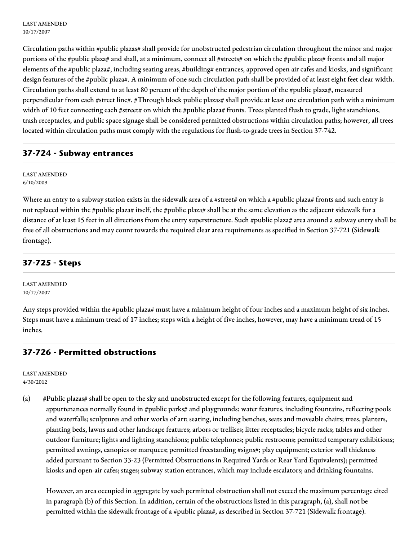Circulation paths within #public plazas# shall provide for unobstructed pedestrian circulation throughout the minor and major portions of the #public plaza# and shall, at a minimum, connect all #streets# on which the #public plaza# fronts and all major elements of the #public plaza#, including seating areas, #building# entrances, approved open air cafes and kiosks, and significant design features of the #public plaza#. A minimum of one such circulation path shall be provided of at least eight feet clear width. Circulation paths shall extend to at least 80 percent of the depth of the major portion of the #public plaza#, measured perpendicular from each #street line#. #Through block public plazas# shall provide at least one circulation path with a minimum width of 10 feet connecting each #street# on which the #public plaza# fronts. Trees planted flush to grade, light stanchions, trash receptacles, and public space signage shall be considered permitted obstructions within circulation paths; however, all trees located within circulation paths must comply with the regulations for flush-to-grade trees in Section 37-742.

## **37-724 - Subway entrances**

LAST AMENDED 6/10/2009

Where an entry to a subway station exists in the sidewalk area of a #street# on which a #public plaza# fronts and such entry is not replaced within the #public plaza# itself, the #public plaza# shall be at the same elevation as the adjacent sidewalk for a distance of at least 15 feet in all directions from the entry superstructure. Such #public plaza# area around a subway entry shall be free of all obstructions and may count towards the required clear area requirements as specified in Section 37-721 (Sidewalk frontage).

# **37-725 - Steps**

LAST AMENDED 10/17/2007

Any steps provided within the #public plaza# must have a minimum height of four inches and a maximum height of six inches. Steps must have a minimum tread of 17 inches; steps with a height of five inches, however, may have a minimum tread of 15 inches.

# **37-726 - Permitted obstructions**

LAST AMENDED 4/30/2012

(a) #Public plazas# shall be open to the sky and unobstructed except for the following features, equipment and appurtenances normally found in #public parks# and playgrounds: water features, including fountains, reflecting pools and waterfalls; sculptures and other works of art; seating, including benches, seats and moveable chairs; trees, planters, planting beds, lawns and other landscape features; arbors or trellises; litter receptacles; bicycle racks; tables and other outdoor furniture; lights and lighting stanchions; public telephones; public restrooms; permitted temporary exhibitions; permitted awnings, canopies or marquees; permitted freestanding #signs#; play equipment; exterior wall thickness added pursuant to Section 33-23 (Permitted Obstructions in Required Yards or Rear Yard Equivalents); permitted kiosks and open-air cafes; stages; subway station entrances, which may include escalators; and drinking fountains.

However, an area occupied in aggregate by such permitted obstruction shall not exceed the maximum percentage cited in paragraph (b) of this Section. In addition, certain of the obstructions listed in this paragraph, (a), shall not be permitted within the sidewalk frontage of a #public plaza#, as described in Section 37-721 (Sidewalk frontage).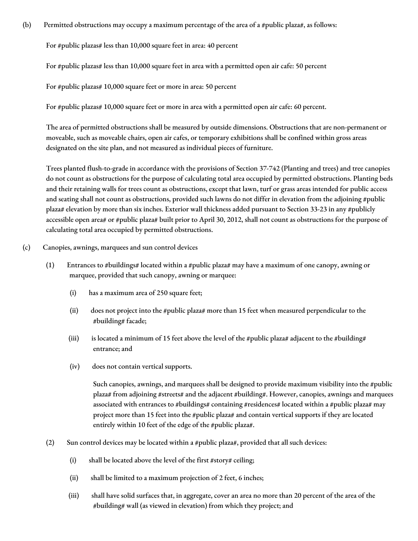(b) Permitted obstructions may occupy a maximum percentage of the area of a #public plaza#, as follows:

For #public plazas# less than 10,000 square feet in area: 40 percent

For #public plazas# less than 10,000 square feet in area with a permitted open air cafe: 50 percent

For #public plazas# 10,000 square feet or more in area: 50 percent

For #public plazas# 10,000 square feet or more in area with a permitted open air cafe: 60 percent.

The area of permitted obstructions shall be measured by outside dimensions. Obstructions that are non-permanent or moveable, such as moveable chairs, open air cafes, or temporary exhibitions shall be confined within gross areas designated on the site plan, and not measured as individual pieces of furniture.

Trees planted flush-to-grade in accordance with the provisions of Section 37-742 (Planting and trees) and tree canopies do not count as obstructions for the purpose of calculating total area occupied by permitted obstructions. Planting beds and their retaining walls for trees count as obstructions, except that lawn, turf or grass areas intended for public access and seating shall not count as obstructions, provided such lawns do not differ in elevation from the adjoining #public plaza# elevation by more than six inches. Exterior wall thickness added pursuant to Section 33-23 in any #publicly accessible open area# or #public plaza# built prior to April 30, 2012, shall not count as obstructions for the purpose of calculating total area occupied by permitted obstructions.

#### (c) Canopies, awnings, marquees and sun control devices

- (1) Entrances to #buildings# located within a #public plaza# may have a maximum of one canopy, awning or marquee, provided that such canopy, awning or marquee:
	- (i) has a maximum area of 250 square feet;
	- (ii) does not project into the #public plaza# more than 15 feet when measured perpendicular to the #building# facade;
	- (iii) is located a minimum of 15 feet above the level of the #public plaza# adjacent to the #building# entrance; and
	- (iv) does not contain vertical supports.

Such canopies, awnings, and marquees shall be designed to provide maximum visibility into the #public plaza# from adjoining #streets# and the adjacent #building#. However, canopies, awnings and marquees associated with entrances to #buildings# containing #residences# located within a #public plaza# may project more than 15 feet into the #public plaza# and contain vertical supports if they are located entirely within 10 feet of the edge of the #public plaza#.

- (2) Sun control devices may be located within a #public plaza#, provided that all such devices:
	- (i) shall be located above the level of the first #story# ceiling;
	- (ii) shall be limited to a maximum projection of 2 feet, 6 inches;
	- (iii) shall have solid surfaces that, in aggregate, cover an area no more than 20 percent of the area of the #building# wall (as viewed in elevation) from which they project; and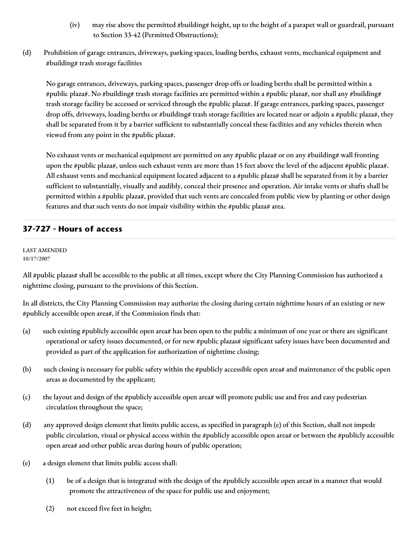- (iv) may rise above the permitted #building# height, up to the height of a parapet wall or guardrail, pursuant to Section 33-42 (Permitted Obstructions);
- (d) Prohibition of garage entrances, driveways, parking spaces, loading berths, exhaust vents, mechanical equipment and #building# trash storage facilities

No garage entrances, driveways, parking spaces, passenger drop offs or loading berths shall be permitted within a #public plaza#. No #building# trash storage facilities are permitted within a #public plaza#, nor shall any #building# trash storage facility be accessed or serviced through the #public plaza#. If garage entrances, parking spaces, passenger drop offs, driveways, loading berths or #building# trash storage facilities are located near or adjoin a #public plaza#, they shall be separated from it by a barrier sufficient to substantially conceal these facilities and any vehicles therein when viewed from any point in the #public plaza#.

No exhaust vents or mechanical equipment are permitted on any #public plaza# or on any #building# wall fronting upon the #public plaza#, unless such exhaust vents are more than 15 feet above the level of the adjacent #public plaza#. All exhaust vents and mechanical equipment located adjacent to a #public plaza# shall be separated from it by a barrier sufficient to substantially, visually and audibly, conceal their presence and operation. Air intake vents or shafts shall be permitted within a #public plaza#, provided that such vents are concealed from public view by planting or other design features and that such vents do not impair visibility within the #public plaza# area.

# **37-727 - Hours of access**

#### LAST AMENDED 10/17/2007

All #public plazas# shall be accessible to the public at all times, except where the City Planning Commission has authorized a nighttime closing, pursuant to the provisions of this Section.

In all districts, the City Planning Commission may authorize the closing during certain nighttime hours of an existing or new #publicly accessible open area#, if the Commission finds that:

- (a) such existing #publicly accessible open area# has been open to the public a minimum of one year or there are significant operational or safety issues documented, or for new #public plazas# significant safety issues have been documented and provided as part of the application for authorization of nighttime closing;
- (b) such closing is necessary for public safety within the #publicly accessible open area# and maintenance of the public open areas as documented by the applicant;
- (c) the layout and design of the #publicly accessible open area# will promote public use and free and easy pedestrian circulation throughout the space;
- (d) any approved design element that limits public access, as specified in paragraph (e) of this Section, shall not impede public circulation, visual or physical access within the #publicly accessible open area# or between the #publicly accessible open area# and other public areas during hours of public operation;
- (e) a design element that limits public access shall:
	- (1) be of a design that is integrated with the design of the #publicly accessible open area# in a manner that would promote the attractiveness of the space for public use and enjoyment;
	- (2) not exceed five feet in height;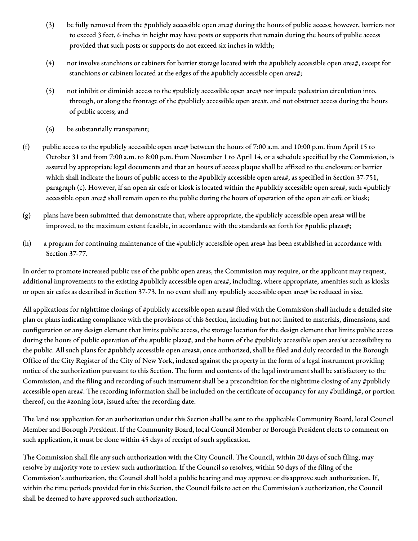- (3) be fully removed from the #publicly accessible open area# during the hours of public access; however, barriers not to exceed 3 feet, 6 inches in height may have posts or supports that remain during the hours of public access provided that such posts or supports do not exceed six inches in width;
- (4) not involve stanchions or cabinets for barrier storage located with the #publicly accessible open area#, except for stanchions or cabinets located at the edges of the #publicly accessible open area#;
- (5) not inhibit or diminish access to the #publicly accessible open area# nor impede pedestrian circulation into, through, or along the frontage of the #publicly accessible open area#, and not obstruct access during the hours of public access; and
- (6) be substantially transparent;
- (f) public access to the #publicly accessible open area# between the hours of 7:00 a.m. and 10:00 p.m. from April 15 to October 31 and from 7:00 a.m. to 8:00 p.m. from November 1 to April 14, or a schedule specified by the Commission, is assured by appropriate legal documents and that an hours of access plaque shall be affixed to the enclosure or barrier which shall indicate the hours of public access to the #publicly accessible open area#, as specified in Section 37-751, paragraph (c). However, if an open air cafe or kiosk is located within the #publicly accessible open area#, such #publicly accessible open area# shall remain open to the public during the hours of operation of the open air cafe or kiosk;
- (g) plans have been submitted that demonstrate that, where appropriate, the #publicly accessible open area# will be improved, to the maximum extent feasible, in accordance with the standards set forth for #public plazas#;
- (h) a program for continuing maintenance of the #publicly accessible open area# has been established in accordance with Section 37-77.

In order to promote increased public use of the public open areas, the Commission may require, or the applicant may request, additional improvements to the existing #publicly accessible open area#, including, where appropriate, amenities such as kiosks or open air cafes as described in Section 37-73. In no event shall any #publicly accessible open area# be reduced in size.

All applications for nighttime closings of #publicly accessible open areas# filed with the Commission shall include a detailed site plan or plans indicating compliance with the provisions of this Section, including but not limited to materials, dimensions, and configuration or any design element that limits public access, the storage location for the design element that limits public access during the hours of public operation of the #public plaza#, and the hours of the #publicly accessible open area's# accessibility to the public. All such plans for #publicly accessible open areas#, once authorized, shall be filed and duly recorded in the Borough Office of the City Register of the City of New York, indexed against the property in the form of a legal instrument providing notice of the authorization pursuant to this Section. The form and contents of the legal instrument shall be satisfactory to the Commission, and the filing and recording of such instrument shall be a precondition for the nighttime closing of any #publicly accessible open area#. The recording information shall be included on the certificate of occupancy for any #building#, or portion thereof, on the #zoning lot#, issued after the recording date.

The land use application for an authorization under this Section shall be sent to the applicable Community Board, local Council Member and Borough President. If the Community Board, local Council Member or Borough President elects to comment on such application, it must be done within 45 days of receipt of such application.

The Commission shall file any such authorization with the City Council. The Council, within 20 days of such filing, may resolve by majority vote to review such authorization. If the Council so resolves, within 50 days of the filing of the Commission's authorization, the Council shall hold a public hearing and may approve or disapprove such authorization. If, within the time periods provided for in this Section, the Council fails to act on the Commission's authorization, the Council shall be deemed to have approved such authorization.